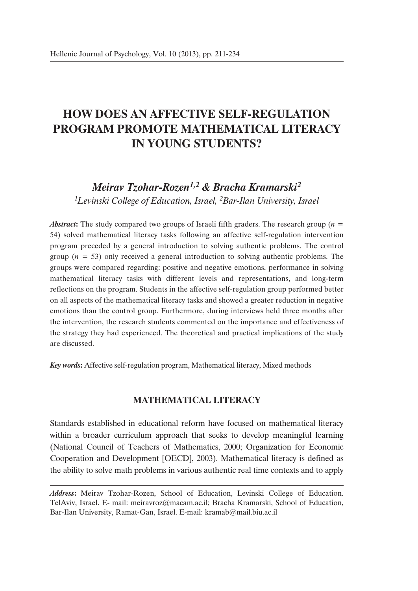# **HOW DOES AN AFFECTIVE SELF-REGULATION PROGRAM PROMOTE MATHEMATICAL LITERACY IN YOUNG STUDENTS?**

## *Meirav Tzohar-Rozen1,2 & Bracha Kramarski2 1Levinski College of Education, Israel, 2Bar-Ilan University, Israel*

*Abstract***:** The study compared two groups of Israeli fifth graders. The research group (*n* = 54) solved mathematical literacy tasks following an affective self-regulation intervention program preceded by a general introduction to solving authentic problems. The control group (*n* = 53) only received a general introduction to solving authentic problems. The groups were compared regarding: positive and negative emotions, performance in solving mathematical literacy tasks with different levels and representations, and long-term reflections on the program. Students in the affective self-regulation group performed better on all aspects of the mathematical literacy tasks and showed a greater reduction in negative emotions than the control group. Furthermore, during interviews held three months after the intervention, the research students commented on the importance and effectiveness of the strategy they had experienced. The theoretical and practical implications of the study are discussed.

*Key words***:** Affective self-regulation program, Mathematical literacy, Mixed methods

## **MATHEMATICAL LITERACY**

Standards established in educational reform have focused on mathematical literacy within a broader curriculum approach that seeks to develop meaningful learning (National Council of Teachers of Mathematics, 2000; Organization for Economic Cooperation and Development [OECD], 2003). Mathematical literacy is defined as the ability to solve math problems in various authentic real time contexts and to apply

*Address***:** Meirav Tzohar-Rozen, School of Education, Levinski College of Education. TelAviv, Israel. E- mail: meiravroz@macam.ac.il; Bracha Kramarski, School of Education, Bar-Ilan University, Ramat-Gan, Israel. E-mail: kramab@mail.biu.ac.il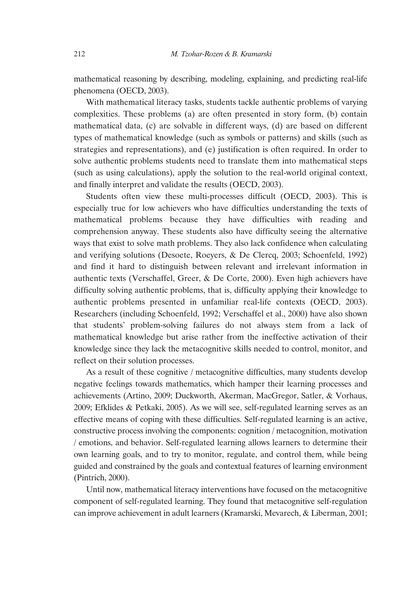mathematical reasoning by describing, modeling, explaining, and predicting real-life phenomena (OECD, 2003).

With mathematical literacy tasks, students tackle authentic problems of varying complexities. These problems (a) are often presented in story form, (b) contain mathematical data, (c) are solvable in different ways, (d) are based on different types of mathematical knowledge (such as symbols or patterns) and skills (such as strategies and representations), and (e) justification is often required. In order to solve authentic problems students need to translate them into mathematical steps (such as using calculations), apply the solution to the real-world original context, and finally interpret and validate the results (OECD, 2003).

Students often view these multi-processes difficult (OECD, 2003). This is especially true for low achievers who have difficulties understanding the texts of mathematical problems because they have difficulties with reading and comprehension anyway. These students also have difficulty seeing the alternative ways that exist to solve math problems. They also lack confidence when calculating and verifying solutions (Desoete, Roeyers, & De Clercq, 2003; Schoenfeld, 1992) and find it hard to distinguish between relevant and irrelevant information in authentic texts (Verschaffel, Greer, & De Corte, 2000). Even high achievers have difficulty solving authentic problems, that is, difficulty applying their knowledge to authentic problems presented in unfamiliar real-life contexts (OECD, 2003). Researchers (including Schoenfeld, 1992; Verschaffel et al., 2000) have also shown that students' problem-solving failures do not always stem from a lack of mathematical knowledge but arise rather from the ineffective activation of their knowledge since they lack the metacognitive skills needed to control, monitor, and reflect on their solution processes.

As a result of these cognitive / metacognitive difficulties, many students develop negative feelings towards mathematics, which hamper their learning processes and achievements (Artino, 2009; Duckworth, Akerman, MacGregor, Satler, & Vorhaus, 2009; Efklides & Petkaki, 2005). As we will see, self-regulated learning serves as an effective means of coping with these difficulties. Self-regulated learning is an active, constructive process involving the components: cognition / metacognition, motivation / emotions, and behavior. Self-regulated learning allows learners to determine their own learning goals, and to try to monitor, regulate, and control them, while being guided and constrained by the goals and contextual features of learning environment (Pintrich, 2000).

Until now, mathematical literacy interventions have focused on the metacognitive component of self-regulated learning. They found that metacognitive self-regulation can improve achievement in adult learners (Kramarski, Mevarech, & Liberman, 2001;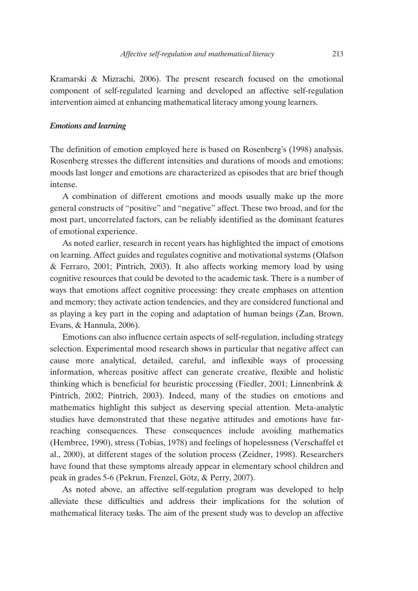Kramarski & Mizrachi, 2006). The present research focused on the emotional component of self-regulated learning and developed an affective self-regulation intervention aimed at enhancing mathematical literacy among young learners.

#### *Emotions and learning*

The definition of emotion employed here is based on Rosenberg's (1998) analysis. Rosenberg stresses the different intensities and durations of moods and emotions: moods last longer and emotions are characterized as episodes that are brief though intense.

A combination of different emotions and moods usually make up the more general constructs of "positive" and "negative" affect. These two broad, and for the most part, uncorrelated factors, can be reliably identified as the dominant features of emotional experience.

As noted earlier, research in recent years has highlighted the impact of emotions on learning. Affect guides and regulates cognitive and motivational systems (Olafson & Ferraro, 2001; Pintrich, 2003). It also affects working memory load by using cognitive resources that could be devoted to the academic task. There is a number of ways that emotions affect cognitive processing: they create emphases on attention and memory; they activate action tendencies, and they are considered functional and as playing a key part in the coping and adaptation of human beings (Zan, Brown, Evans, & Hannula, 2006).

Emotions can also influence certain aspects of self-regulation, including strategy selection. Experimental mood research shows in particular that negative affect can cause more analytical, detailed, careful, and inflexible ways of processing information, whereas positive affect can generate creative, flexible and holistic thinking which is beneficial for heuristic processing (Fiedler, 2001; Linnenbrink  $\&$ Pintrich, 2002; Pintrich, 2003). Indeed, many of the studies on emotions and mathematics highlight this subject as deserving special attention. Meta-analytic studies have demonstrated that these negative attitudes and emotions have farreaching consequences. These consequences include avoiding mathematics (Hembree, 1990), stress (Tobias, 1978) and feelings of hopelessness (Verschaffel et al., 2000), at different stages of the solution process (Zeidner, 1998). Researchers have found that these symptoms already appear in elementary school children and peak in grades 5-6 (Pekrun, Frenzel, Götz, & Perry, 2007).

As noted above, an affective self-regulation program was developed to help alleviate these difficulties and address their implications for the solution of mathematical literacy tasks. The aim of the present study was to develop an affective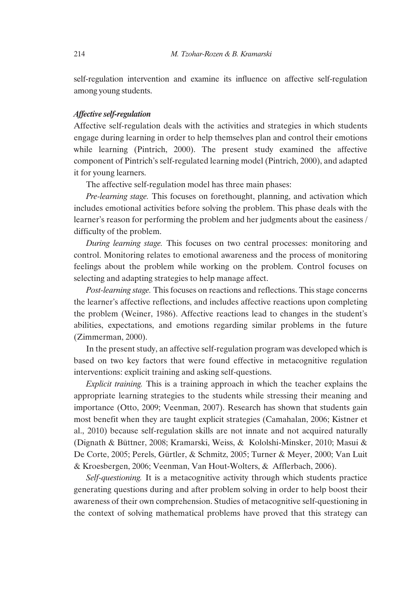self-regulation intervention and examine its influence on affective self-regulation among young students.

#### *Affective self-regulation*

Affective self-regulation deals with the activities and strategies in which students engage during learning in order to help themselves plan and control their emotions while learning (Pintrich, 2000). The present study examined the affective component of Pintrich's self-regulated learning model (Pintrich, 2000), and adapted it for young learners.

The affective self-regulation model has three main phases:

*Pre-learning stage.* This focuses on forethought, planning, and activation which includes emotional activities before solving the problem. This phase deals with the learner's reason for performing the problem and her judgments about the easiness / difficulty of the problem.

*During learning stage.* This focuses on two central processes: monitoring and control. Monitoring relates to emotional awareness and the process of monitoring feelings about the problem while working on the problem. Control focuses on selecting and adapting strategies to help manage affect.

*Post-learning stage.* This focuses on reactions and reflections. This stage concerns the learner's affective reflections, and includes affective reactions upon completing the problem (Weiner, 1986). Affective reactions lead to changes in the student's abilities, expectations, and emotions regarding similar problems in the future (Zimmerman, 2000).

In the present study, an affective self-regulation program was developed which is based on two key factors that were found effective in metacognitive regulation interventions: explicit training and asking self-questions.

*Explicit training.* This is a training approach in which the teacher explains the appropriate learning strategies to the students while stressing their meaning and importance (Otto, 2009; Veenman, 2007). Research has shown that students gain most benefit when they are taught explicit strategies (Camahalan, 2006; Kistner et al., 2010) because self-regulation skills are not innate and not acquired naturally (Dignath & Büttner, 2008; Kramarski, Weiss, & Kololshi-Minsker, 2010; Masui & De Corte, 2005; Perels, Gürtler, & Schmitz, 2005; Turner & Meyer, 2000; Van Luit & Kroesbergen, 2006; Veenman, Van Hout-Wolters, & Afflerbach, 2006).

*Self-questioning.* It is a metacognitive activity through which students practice generating questions during and after problem solving in order to help boost their awareness of their own comprehension. Studies of metacognitive self-questioning in the context of solving mathematical problems have proved that this strategy can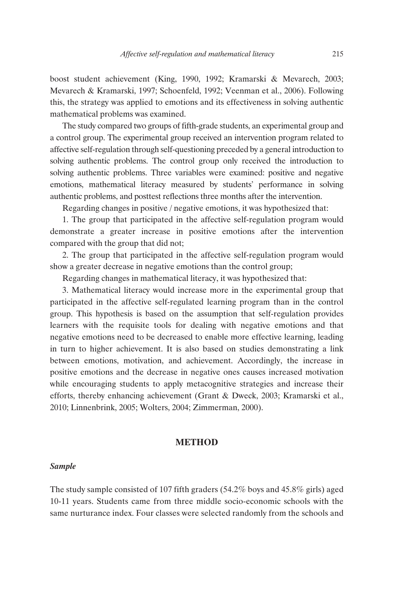boost student achievement (King, 1990, 1992; Kramarski & Mevarech, 2003; Mevarech & Kramarski, 1997; Schoenfeld, 1992; Veenman et al., 2006). Following this, the strategy was applied to emotions and its effectiveness in solving authentic mathematical problems was examined.

The study compared two groups of fifth-grade students, an experimental group and a control group. The experimental group received an intervention program related to affective self-regulation through self-questioning preceded by a general introduction to solving authentic problems. The control group only received the introduction to solving authentic problems. Three variables were examined: positive and negative emotions, mathematical literacy measured by students' performance in solving authentic problems, and posttest reflections three months after the intervention.

Regarding changes in positive / negative emotions, it was hypothesized that:

1. The group that participated in the affective self-regulation program would demonstrate a greater increase in positive emotions after the intervention compared with the group that did not;

2. The group that participated in the affective self-regulation program would show a greater decrease in negative emotions than the control group;

Regarding changes in mathematical literacy, it was hypothesized that:

3. Mathematical literacy would increase more in the experimental group that participated in the affective self-regulated learning program than in the control group. This hypothesis is based on the assumption that self-regulation provides learners with the requisite tools for dealing with negative emotions and that negative emotions need to be decreased to enable more effective learning, leading in turn to higher achievement. It is also based on studies demonstrating a link between emotions, motivation, and achievement. Accordingly, the increase in positive emotions and the decrease in negative ones causes increased motivation while encouraging students to apply metacognitive strategies and increase their efforts, thereby enhancing achievement (Grant & Dweck, 2003; Kramarski et al., 2010; Linnenbrink, 2005; Wolters, 2004; Zimmerman, 2000).

### **METHOD**

#### *Sample*

The study sample consisted of 107 fifth graders (54.2% boys and 45.8% girls) aged 10-11 years. Students came from three middle socio-economic schools with the same nurturance index. Four classes were selected randomly from the schools and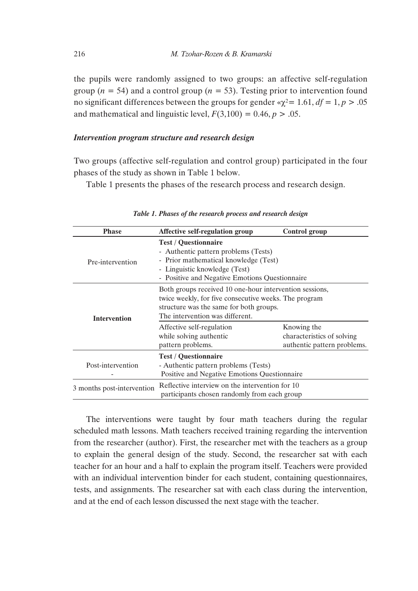the pupils were randomly assigned to two groups: an affective self-regulation group ( $n = 54$ ) and a control group ( $n = 53$ ). Testing prior to intervention found no significant differences between the groups for gender  $\alpha$ <sup> $\gamma$ </sup><sup>2</sup> = 1.61, *df* = 1, *p* > .05 and mathematical and linguistic level,  $F(3,100) = 0.46$ ,  $p > .05$ .

## *Intervention program structure and research design*

Two groups (affective self-regulation and control group) participated in the four phases of the study as shown in Table 1 below.

Table 1 presents the phases of the research process and research design.

| <b>Phase</b>               | Affective self-regulation group                                                                                                                                                                 | Control group                                                            |  |  |  |  |
|----------------------------|-------------------------------------------------------------------------------------------------------------------------------------------------------------------------------------------------|--------------------------------------------------------------------------|--|--|--|--|
| Pre-intervention           | <b>Test / Questionnaire</b><br>- Authentic pattern problems (Tests)<br>- Prior mathematical knowledge (Test)<br>- Linguistic knowledge (Test)<br>- Positive and Negative Emotions Questionnaire |                                                                          |  |  |  |  |
| <b>Intervention</b>        | Both groups received 10 one-hour intervention sessions,<br>twice weekly, for five consecutive weeks. The program<br>structure was the same for both groups.<br>The intervention was different.  |                                                                          |  |  |  |  |
|                            | Affective self-regulation<br>while solving authentic<br>pattern problems.                                                                                                                       | Knowing the<br>characteristics of solving<br>authentic pattern problems. |  |  |  |  |
| Post-intervention          | <b>Test / Questionnaire</b><br>- Authentic pattern problems (Tests)<br>Positive and Negative Emotions Questionnaire                                                                             |                                                                          |  |  |  |  |
| 3 months post-intervention | Reflective interview on the intervention for 10<br>participants chosen randomly from each group                                                                                                 |                                                                          |  |  |  |  |

*Table 1. Phases of the research process and research design*

The interventions were taught by four math teachers during the regular scheduled math lessons. Math teachers received training regarding the intervention from the researcher (author). First, the researcher met with the teachers as a group to explain the general design of the study. Second, the researcher sat with each teacher for an hour and a half to explain the program itself. Teachers were provided with an individual intervention binder for each student, containing questionnaires, tests, and assignments. The researcher sat with each class during the intervention, and at the end of each lesson discussed the next stage with the teacher.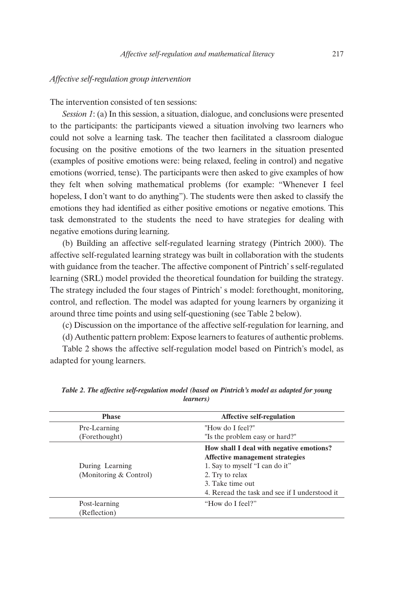#### *Affective self-regulation group intervention*

The intervention consisted of ten sessions:

*Session 1*: (a) In this session, a situation, dialogue, and conclusions were presented to the participants: the participants viewed a situation involving two learners who could not solve a learning task. The teacher then facilitated a classroom dialogue focusing on the positive emotions of the two learners in the situation presented (examples of positive emotions were: being relaxed, feeling in control) and negative emotions (worried, tense). The participants were then asked to give examples of how they felt when solving mathematical problems (for example: "Whenever I feel hopeless, I don't want to do anything"). The students were then asked to classify the emotions they had identified as either positive emotions or negative emotions. This task demonstrated to the students the need to have strategies for dealing with negative emotions during learning.

(b) Building an affective self-regulated learning strategy (Pintrich 2000). The affective self-regulated learning strategy was built in collaboration with the students with guidance from the teacher. The affective component of Pintrich' s self-regulated learning (SRL) model provided the theoretical foundation for building the strategy. The strategy included the four stages of Pintrich' s model: forethought, monitoring, control, and reflection. The model was adapted for young learners by organizing it around three time points and using self-questioning (see Table 2 below).

(c) Discussion on the importance of the affective self-regulation for learning, and

(d) Authentic pattern problem: Expose learners to features of authentic problems.

Table 2 shows the affective self-regulation model based on Pintrich's model, as adapted for young learners.

| <b>Phase</b>                  | <b>Affective self-regulation</b>                                                                              |
|-------------------------------|---------------------------------------------------------------------------------------------------------------|
| Pre-Learning                  | "How do I feel?"                                                                                              |
| (Forethought)                 | "Is the problem easy or hard?"                                                                                |
| During Learning               | How shall I deal with negative emotions?<br>Affective management strategies<br>1. Say to myself "I can do it" |
| (Monitoring & Control)        | 2. Try to relax<br>3. Take time out<br>4. Reread the task and see if I understood it                          |
| Post-learning<br>(Reflection) | "How do I feel?"                                                                                              |

*Table 2. The affective self-regulation model (based on Pintrich's model as adapted for young learners)*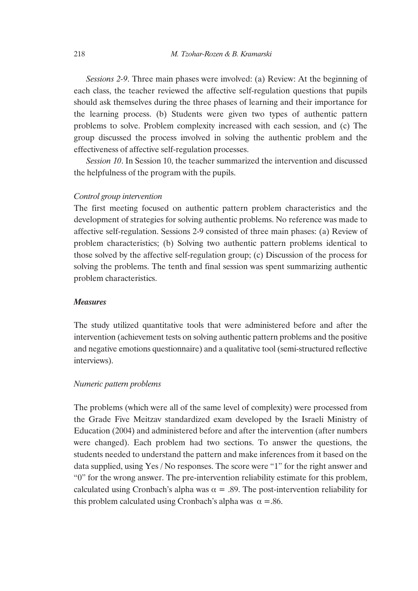*Sessions 2-9*. Three main phases were involved: (a) Review: At the beginning of each class, the teacher reviewed the affective self-regulation questions that pupils should ask themselves during the three phases of learning and their importance for the learning process. (b) Students were given two types of authentic pattern problems to solve. Problem complexity increased with each session, and (c) The group discussed the process involved in solving the authentic problem and the effectiveness of affective self-regulation processes.

*Session 10*. In Session 10, the teacher summarized the intervention and discussed the helpfulness of the program with the pupils.

#### *Control group intervention*

The first meeting focused on authentic pattern problem characteristics and the development of strategies for solving authentic problems. No reference was made to affective self-regulation. Sessions 2-9 consisted of three main phases: (a) Review of problem characteristics; (b) Solving two authentic pattern problems identical to those solved by the affective self-regulation group; (c) Discussion of the process for solving the problems. The tenth and final session was spent summarizing authentic problem characteristics.

#### *Measures*

The study utilized quantitative tools that were administered before and after the intervention (achievement tests on solving authentic pattern problems and the positive and negative emotions questionnaire) and a qualitative tool (semi-structured reflective interviews).

## *Numeric pattern problems*

The problems (which were all of the same level of complexity) were processed from the Grade Five Meitzav standardized exam developed by the Israeli Ministry of Education (2004) and administered before and after the intervention (after numbers were changed). Each problem had two sections. To answer the questions, the students needed to understand the pattern and make inferences from it based on the data supplied, using Yes / No responses. The score were "1" for the right answer and "0" for the wrong answer. The pre-intervention reliability estimate for this problem, calculated using Cronbach's alpha was  $\alpha = .89$ . The post-intervention reliability for this problem calculated using Cronbach's alpha was  $\alpha = .86$ .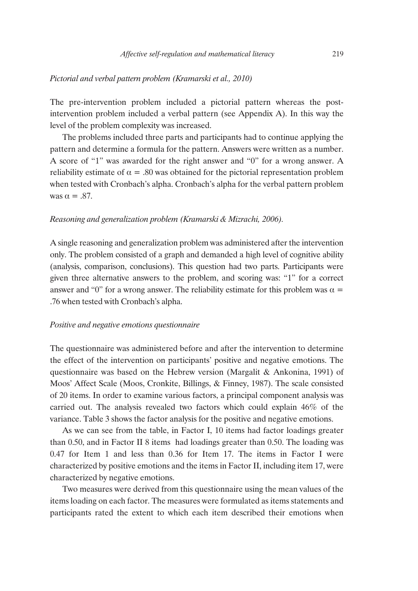#### *Pictorial and verbal pattern problem (Kramarski et al., 2010)*

The pre-intervention problem included a pictorial pattern whereas the postintervention problem included a verbal pattern (see Appendix A). In this way the level of the problem complexity was increased.

The problems included three parts and participants had to continue applying the pattern and determine a formula for the pattern. Answers were written as a number. A score of "1" was awarded for the right answer and "0" for a wrong answer. A reliability estimate of  $\alpha = .80$  was obtained for the pictorial representation problem when tested with Cronbach's alpha. Cronbach's alpha for the verbal pattern problem was  $\alpha = .87$ .

#### *Reasoning and generalization problem (Kramarski & Mizrachi, 2006).*

A single reasoning and generalization problem was administered after the intervention only. The problem consisted of a graph and demanded a high level of cognitive ability (analysis, comparison, conclusions). This question had two parts. Participants were given three alternative answers to the problem, and scoring was: "1" for a correct answer and "0" for a wrong answer. The reliability estimate for this problem was  $\alpha =$ .76 when tested with Cronbach's alpha.

#### *Positive and negative emotions questionnaire*

The questionnaire was administered before and after the intervention to determine the effect of the intervention on participants' positive and negative emotions. The questionnaire was based on the Hebrew version (Margalit & Ankonina, 1991) of Moos' Affect Scale (Moos, Cronkite, Billings, & Finney, 1987). The scale consisted of 20 items. In order to examine various factors, a principal component analysis was carried out. The analysis revealed two factors which could explain 46% of the variance. Table 3 shows the factor analysis for the positive and negative emotions.

As we can see from the table, in Factor I, 10 items had factor loadings greater than 0.50, and in Factor II 8 items had loadings greater than 0.50. The loading was 0.47 for Item 1 and less than 0.36 for Item 17. The items in Factor I were characterized by positive emotions and the items in Factor II, including item 17, were characterized by negative emotions.

Two measures were derived from this questionnaire using the mean values of the items loading on each factor. The measures were formulated as items statements and participants rated the extent to which each item described their emotions when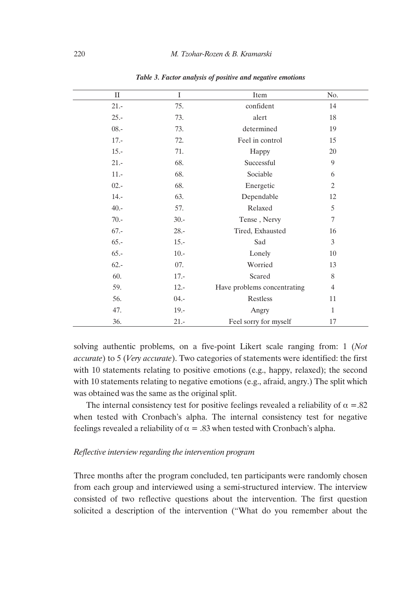| $\mathbf{I}$ | $\mathbf I$ | Item                        | No.            |
|--------------|-------------|-----------------------------|----------------|
| $21 -$       | 75.         | confident                   | 14             |
| $25. -$      | 73.         | alert                       | 18             |
| $08. -$      | 73.         | determined                  | 19             |
| $17. -$      | 72.         | Feel in control             | 15             |
| $15. -$      | 71.         | Happy                       | 20             |
| $21 -$       | 68.         | Successful                  | 9              |
| $11 -$       | 68.         | Sociable                    | 6              |
| $02 -$       | 68.         | Energetic                   | 2              |
| $14. -$      | 63.         | Dependable                  | 12             |
| $40. -$      | 57.         | Relaxed                     | 5              |
| $70. -$      | $30 -$      | Tense, Nervy                | 7              |
| $67. -$      | $28. -$     | Tired, Exhausted            | 16             |
| $65. -$      | $15.-$      | Sad                         | 3              |
| $65. -$      | $10. -$     | Lonely                      | 10             |
| $62 -$       | 07.         | Worried                     | 13             |
| 60.          | $17. -$     | Scared                      | 8              |
| 59.          | $12 -$      | Have problems concentrating | $\overline{4}$ |
| 56.          | $04. -$     | Restless                    | 11             |
| 47.          | $19. -$     | Angry                       | $\mathbf{1}$   |
| 36.          | $21 -$      | Feel sorry for myself       | 17             |

*Table 3. Factor analysis of positive and negative emotions* 

solving authentic problems, on a five-point Likert scale ranging from: 1 (*Not accurate*) to 5 (*Very accurate*). Two categories of statements were identified: the first with 10 statements relating to positive emotions (e.g., happy, relaxed); the second with 10 statements relating to negative emotions (e.g., afraid, angry.) The split which was obtained was the same as the original split.

The internal consistency test for positive feelings revealed a reliability of  $\alpha = 0.82$ when tested with Cronbach's alpha. The internal consistency test for negative feelings revealed a reliability of  $\alpha = .83$  when tested with Cronbach's alpha.

## *Reflective interview regarding the intervention program*

Three months after the program concluded, ten participants were randomly chosen from each group and interviewed using a semi-structured interview. The interview consisted of two reflective questions about the intervention. The first question solicited a description of the intervention ("What do you remember about the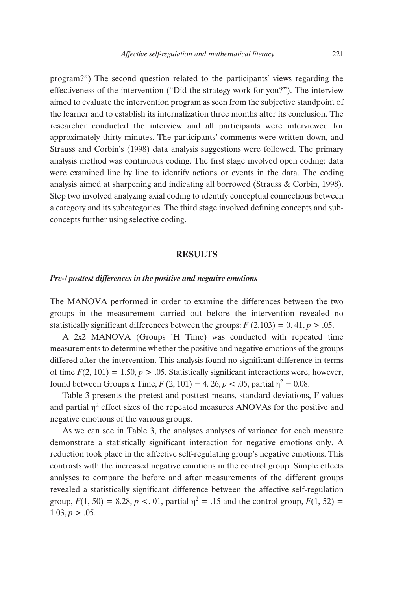program?") The second question related to the participants' views regarding the effectiveness of the intervention ("Did the strategy work for you?"). The interview aimed to evaluate the intervention program as seen from the subjective standpoint of the learner and to establish its internalization three months after its conclusion. The researcher conducted the interview and all participants were interviewed for approximately thirty minutes. The participants' comments were written down, and Strauss and Corbin's (1998) data analysis suggestions were followed. The primary analysis method was continuous coding. The first stage involved open coding: data were examined line by line to identify actions or events in the data. The coding analysis aimed at sharpening and indicating all borrowed (Strauss & Corbin, 1998). Step two involved analyzing axial coding to identify conceptual connections between a category and its subcategories. The third stage involved defining concepts and subconcepts further using selective coding.

#### **RESULTS**

#### *Pre-/ posttest differences in the positive and negative emotions*

The MANOVA performed in order to examine the differences between the two groups in the measurement carried out before the intervention revealed no statistically significant differences between the groups:  $F(2,103) = 0.41$ ,  $p > .05$ .

A 2x2 MANOVA (Groups <sup>'</sup>H Time) was conducted with repeated time measurements to determine whether the positive and negative emotions of the groups differed after the intervention. This analysis found no significant difference in terms of time  $F(2, 101) = 1.50$ ,  $p > 0.05$ . Statistically significant interactions were, however, found between Groups x Time,  $F(2, 101) = 4$ . 26,  $p < .05$ , partial  $\eta^2 = 0.08$ .

Table 3 presents the pretest and posttest means, standard deviations, F values and partial  $\eta^2$  effect sizes of the repeated measures ANOVAs for the positive and negative emotions of the various groups.

As we can see in Table 3, the analyses analyses of variance for each measure demonstrate a statistically significant interaction for negative emotions only. A reduction took place in the affective self-regulating group's negative emotions. This contrasts with the increased negative emotions in the control group. Simple effects analyses to compare the before and after measurements of the different groups revealed a statistically significant difference between the affective self-regulation group,  $F(1, 50) = 8.28$ ,  $p < 0.01$ , partial  $\eta^2 = 0.15$  and the control group,  $F(1, 52) =$  $1.03, p > .05.$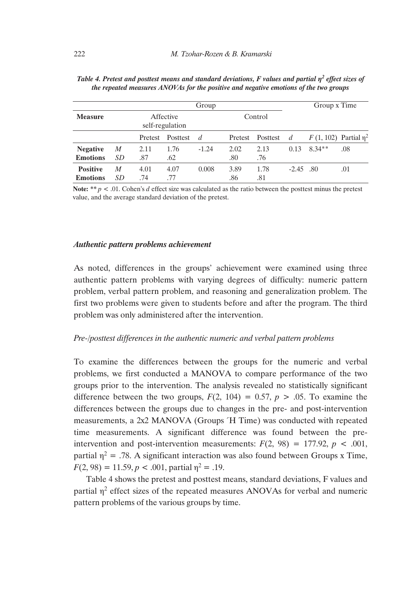| Group           |                 |         |                              |         |         |          |                | Group x Time                |     |  |  |
|-----------------|-----------------|---------|------------------------------|---------|---------|----------|----------------|-----------------------------|-----|--|--|
| <b>Measure</b>  |                 |         | Affective<br>self-regulation |         |         | Control  |                |                             |     |  |  |
|                 |                 | Pretest | Posttest                     | d       | Pretest | Posttest | $\overline{d}$ | F (1, 102) Partial $\eta^2$ |     |  |  |
| <b>Negative</b> | M               | 2.11    | 1.76                         | $-1.24$ | 2.02    | 2.13     | 0.13           | $8.34**$                    | .08 |  |  |
| <b>Emotions</b> | SD <sub>-</sub> | .87     | .62                          |         | .80     | .76      |                |                             |     |  |  |
| <b>Positive</b> | M               | 4.01    | 4.07                         | 0.008   | 3.89    | 1.78     | $-2.45$ .80    |                             | .01 |  |  |
| <b>Emotions</b> | SD              | .74     | .77                          |         | .86     | .81      |                |                             |     |  |  |

| Table 4. Pretest and posttest means and standard deviations, F values and partial $\eta^2$ effect sizes of |  |
|------------------------------------------------------------------------------------------------------------|--|
| the repeated measures ANOVAs for the positive and negative emotions of the two groups                      |  |

**Note:** *\*\* p* < .01. Cohen's *d* effect size was calculated as the ratio between the posttest minus the pretest value, and the average standard deviation of the pretest.

#### *Authentic pattern problems achievement*

As noted, differences in the groups' achievement were examined using three authentic pattern problems with varying degrees of difficulty: numeric pattern problem, verbal pattern problem, and reasoning and generalization problem. The first two problems were given to students before and after the program. The third problem was only administered after the intervention.

#### *Pre-/posttest differences in the authentic numeric and verbal pattern problems*

To examine the differences between the groups for the numeric and verbal problems, we first conducted a MANOVA to compare performance of the two groups prior to the intervention. The analysis revealed no statistically significant difference between the two groups,  $F(2, 104) = 0.57$ ,  $p > 0.05$ . To examine the differences between the groups due to changes in the pre- and post-intervention measurements, a 2x2 MANOVA (Groups <sup>2</sup>H Time) was conducted with repeated time measurements. A significant difference was found between the preintervention and post-intervention measurements:  $F(2, 98) = 177.92$ ,  $p < .001$ , partial  $\eta^2$  = .78. A significant interaction was also found between Groups x Time,  $F(2, 98) = 11.59, p < .001$ , partial  $\eta^2 = .19$ .

Table 4 shows the pretest and posttest means, standard deviations, F values and partial  $\eta^2$  effect sizes of the repeated measures ANOVAs for verbal and numeric pattern problems of the various groups by time.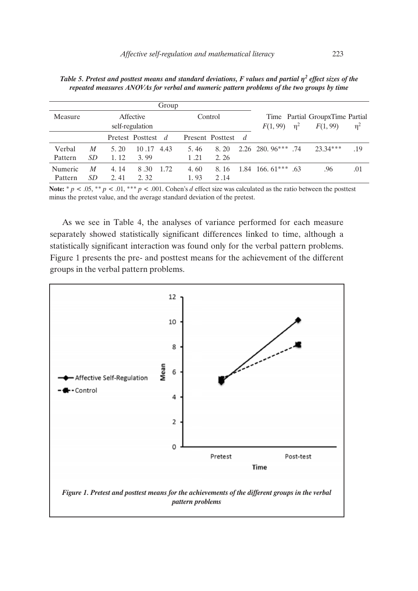| Group   |                              |      |                    |      |         |                  |                |                                   |                                             |            |     |
|---------|------------------------------|------|--------------------|------|---------|------------------|----------------|-----------------------------------|---------------------------------------------|------------|-----|
| Measure | Affective<br>self-regulation |      |                    |      | Control |                  |                | $n^2$                             | Time Partial GroupxTime Partial<br>F(1, 99) | $\eta^2$   |     |
|         |                              |      | Pretest Posttest d |      |         | Present Posttest | $\overline{d}$ |                                   |                                             |            |     |
| Verbal  | M                            | 5.20 | 10.17              | 4.43 | 5.46    | 8.20             |                | $2.26$ 280, $96***$ .74           |                                             | $23.34***$ | .19 |
| Pattern | SD                           | 1.12 | 3.99               |      | 1.21    | 2.26             |                |                                   |                                             |            |     |
| Numeric | M                            | 4.14 | 8.30               | 1.72 | 4.60    | 8.16             |                | $1.84$ 166, 61 <sup>***</sup> .63 |                                             | .96        | .01 |
| Pattern | SD                           | 2.41 | 2.32               |      | 1.93    | 2.14             |                |                                   |                                             |            |     |

*Table 5. Pretest and posttest means and standard deviations, F values and partial*  $\eta^2$  *effect sizes of the repeated measures ANOVAs for verbal and numeric pattern problems of the two groups by time* 

**Note:**  $* p \lt 0.05$ ,  $* p \lt 0.01$ ,  $* * p \lt 0.001$ . Cohen's *d* effect size was calculated as the ratio between the posttest minus the pretest value, and the average standard deviation of the pretest.

As we see in Table 4, the analyses of variance performed for each measure separately showed statistically significant differences linked to time, although a statistically significant interaction was found only for the verbal pattern problems. Figure 1 presents the pre- and posttest means for the achievement of the different groups in the verbal pattern problems.

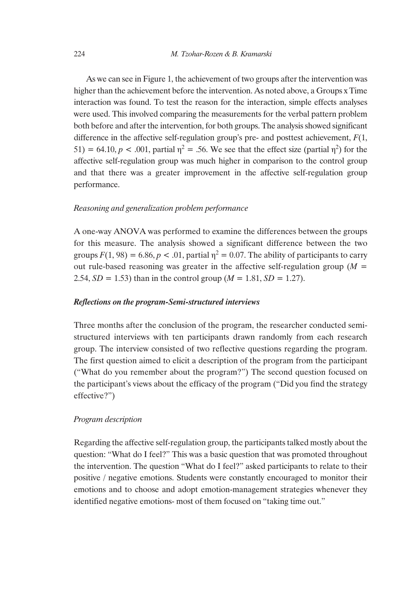As we can see in Figure 1, the achievement of two groups after the intervention was higher than the achievement before the intervention. As noted above, a Groups x Time interaction was found. To test the reason for the interaction, simple effects analyses were used. This involved comparing the measurements for the verbal pattern problem both before and after the intervention, for both groups. The analysis showed significant difference in the affective self-regulation group's pre- and posttest achievement, *F*(1,  $51$ ) = 64.10,  $p < .001$ , partial  $\eta^2 = .56$ . We see that the effect size (partial  $\eta^2$ ) for the affective self-regulation group was much higher in comparison to the control group and that there was a greater improvement in the affective self-regulation group performance.

#### *Reasoning and generalization problem performance*

A one-way ANOVA was performed to examine the differences between the groups for this measure. The analysis showed a significant difference between the two groups  $F(1, 98) = 6.86$ ,  $p < .01$ , partial  $\eta^2 = 0.07$ . The ability of participants to carry out rule-based reasoning was greater in the affective self-regulation group ( $M =$ 2.54,  $SD = 1.53$ ) than in the control group ( $M = 1.81$ ,  $SD = 1.27$ ).

#### *Reflections on the program-Semi-structured interviews*

Three months after the conclusion of the program, the researcher conducted semistructured interviews with ten participants drawn randomly from each research group. The interview consisted of two reflective questions regarding the program. The first question aimed to elicit a description of the program from the participant ("What do you remember about the program?") The second question focused on the participant's views about the efficacy of the program ("Did you find the strategy effective?")

#### *Program description*

Regarding the affective self-regulation group, the participants talked mostly about the question: "What do I feel?" This was a basic question that was promoted throughout the intervention. The question "What do I feel?" asked participants to relate to their positive / negative emotions. Students were constantly encouraged to monitor their emotions and to choose and adopt emotion-management strategies whenever they identified negative emotions- most of them focused on "taking time out."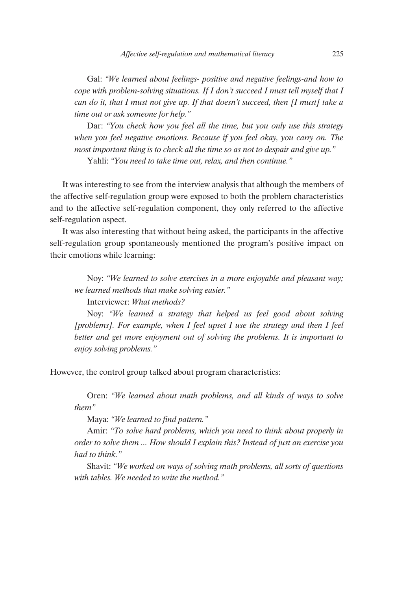Gal: *"We learned about feelings- positive and negative feelings-and how to cope with problem-solving situations. If I don't succeed I must tell myself that I can do it, that I must not give up. If that doesn't succeed, then [I must] take a time out or ask someone for help."*

Dar: *"You check how you feel all the time, but you only use this strategy when you feel negative emotions. Because if you feel okay, you carry on. The most important thing is to check all the time so as not to despair and give up."* Yahli: *"You need to take time out, relax, and then continue."*

It was interesting to see from the interview analysis that although the members of the affective self-regulation group were exposed to both the problem characteristics and to the affective self-regulation component, they only referred to the affective self-regulation aspect.

It was also interesting that without being asked, the participants in the affective self-regulation group spontaneously mentioned the program's positive impact on their emotions while learning:

Noy: *"We learned to solve exercises in a more enjoyable and pleasant way; we learned methods that make solving easier."*

Interviewer: *What methods?*

Noy: *"We learned a strategy that helped us feel good about solving [problems]. For example, when I feel upset I use the strategy and then I feel better and get more enjoyment out of solving the problems. It is important to enjoy solving problems."*

However, the control group talked about program characteristics:

Oren: *"We learned about math problems, and all kinds of ways to solve them"*

Maya: *"We learned to find pattern."*

Amir: *"To solve hard problems, which you need to think about properly in order to solve them ... How should I explain this? Instead of just an exercise you had to think."*

Shavit: *"We worked on ways of solving math problems, all sorts of questions with tables. We needed to write the method."*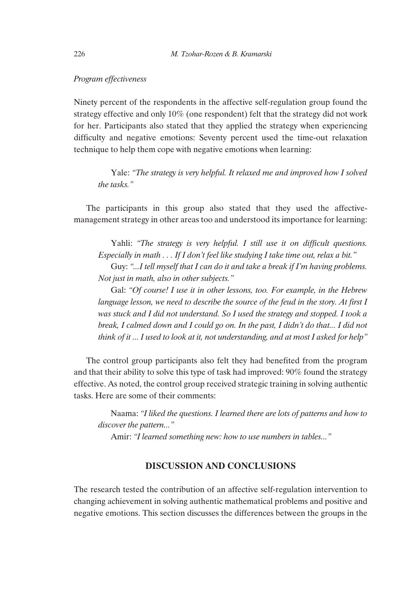#### *Program effectiveness*

Ninety percent of the respondents in the affective self-regulation group found the strategy effective and only 10% (one respondent) felt that the strategy did not work for her. Participants also stated that they applied the strategy when experiencing difficulty and negative emotions: Seventy percent used the time-out relaxation technique to help them cope with negative emotions when learning:

Yale: *"The strategy is very helpful. It relaxed me and improved how I solved the tasks."*

The participants in this group also stated that they used the affectivemanagement strategy in other areas too and understood its importance for learning:

Yahli: *"The strategy is very helpful. I still use it on difficult questions. Especially in math . . . If I don't feel like studying I take time out, relax a bit."*

Guy: *"...I tell myself that I can do it and take a break if I'm having problems. Not just in math, also in other subjects."*

Gal: *"Of course! I use it in other lessons, too. For example, in the Hebrew language lesson, we need to describe the source of the feud in the story. At first I was stuck and I did not understand. So I used the strategy and stopped. I took a break, I calmed down and I could go on. In the past, I didn't do that... I did not think of it ... I used to look at it, not understanding, and at most I asked for help"*

The control group participants also felt they had benefited from the program and that their ability to solve this type of task had improved: 90% found the strategy effective. As noted, the control group received strategic training in solving authentic tasks. Here are some of their comments:

Naama: *"I liked the questions. I learned there are lots of patterns and how to discover the pattern..."*

Amir: *"I learned something new: how to use numbers in tables..."*

## **DISCUSSION AND CONCLUSIONS**

The research tested the contribution of an affective self-regulation intervention to changing achievement in solving authentic mathematical problems and positive and negative emotions. This section discusses the differences between the groups in the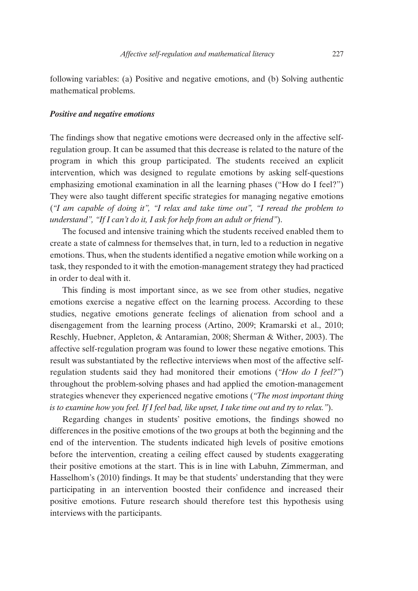following variables: (a) Positive and negative emotions, and (b) Solving authentic mathematical problems.

#### *Positive and negative emotions*

The findings show that negative emotions were decreased only in the affective selfregulation group. It can be assumed that this decrease is related to the nature of the program in which this group participated. The students received an explicit intervention, which was designed to regulate emotions by asking self-questions emphasizing emotional examination in all the learning phases ("How do I feel?") They were also taught different specific strategies for managing negative emotions (*"I am capable of doing it", "I relax and take time out", "I reread the problem to understand", "If I can't do it, I ask for help from an adult or friend"*).

The focused and intensive training which the students received enabled them to create a state of calmness for themselves that, in turn, led to a reduction in negative emotions. Thus, when the students identified a negative emotion while working on a task, they responded to it with the emotion-management strategy they had practiced in order to deal with it.

This finding is most important since, as we see from other studies, negative emotions exercise a negative effect on the learning process. According to these studies, negative emotions generate feelings of alienation from school and a disengagement from the learning process (Artino, 2009; Kramarski et al., 2010; Reschly, Huebner, Appleton, & Antaramian, 2008; Sherman & Wither, 2003). The affective self-regulation program was found to lower these negative emotions. This result was substantiated by the reflective interviews when most of the affective selfregulation students said they had monitored their emotions (*"How do I feel?"*) throughout the problem-solving phases and had applied the emotion-management strategies whenever they experienced negative emotions (*"The most important thing is to examine how you feel. If I feel bad, like upset, I take time out and try to relax."*).

Regarding changes in students' positive emotions, the findings showed no differences in the positive emotions of the two groups at both the beginning and the end of the intervention. The students indicated high levels of positive emotions before the intervention, creating a ceiling effect caused by students exaggerating their positive emotions at the start. This is in line with Labuhn, Zimmerman, and Hasselhom's (2010) findings. It may be that students' understanding that they were participating in an intervention boosted their confidence and increased their positive emotions. Future research should therefore test this hypothesis using interviews with the participants.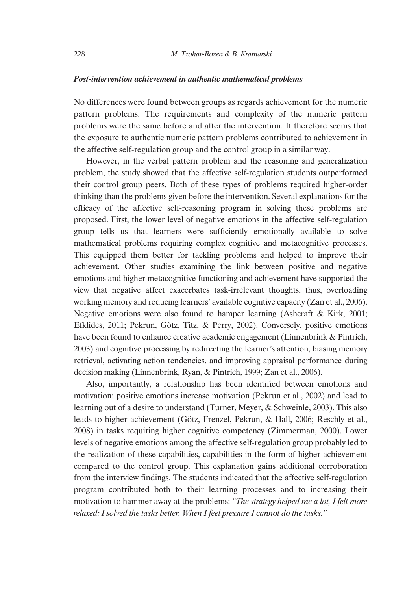#### *Post-intervention achievement in authentic mathematical problems*

No differences were found between groups as regards achievement for the numeric pattern problems. The requirements and complexity of the numeric pattern problems were the same before and after the intervention. It therefore seems that the exposure to authentic numeric pattern problems contributed to achievement in the affective self-regulation group and the control group in a similar way.

However, in the verbal pattern problem and the reasoning and generalization problem, the study showed that the affective self-regulation students outperformed their control group peers. Both of these types of problems required higher-order thinking than the problems given before the intervention. Several explanations for the efficacy of the affective self-reasoning program in solving these problems are proposed. First, the lower level of negative emotions in the affective self-regulation group tells us that learners were sufficiently emotionally available to solve mathematical problems requiring complex cognitive and metacognitive processes. This equipped them better for tackling problems and helped to improve their achievement. Other studies examining the link between positive and negative emotions and higher metacognitive functioning and achievement have supported the view that negative affect exacerbates task-irrelevant thoughts, thus, overloading working memory and reducing learners' available cognitive capacity (Zan et al., 2006). Negative emotions were also found to hamper learning (Ashcraft & Kirk, 2001; Efklides, 2011; Pekrun, Götz, Titz, & Perry, 2002). Conversely, positive emotions have been found to enhance creative academic engagement (Linnenbrink & Pintrich, 2003) and cognitive processing by redirecting the learner's attention, biasing memory retrieval, activating action tendencies, and improving appraisal performance during decision making (Linnenbrink, Ryan, & Pintrich, 1999; Zan et al., 2006).

Also, importantly, a relationship has been identified between emotions and motivation: positive emotions increase motivation (Pekrun et al., 2002) and lead to learning out of a desire to understand (Turner, Meyer, & Schweinle, 2003). This also leads to higher achievement (Götz, Frenzel, Pekrun, & Hall, 2006; Reschly et al., 2008) in tasks requiring higher cognitive competency (Zimmerman, 2000). Lower levels of negative emotions among the affective self-regulation group probably led to the realization of these capabilities, capabilities in the form of higher achievement compared to the control group. This explanation gains additional corroboration from the interview findings. The students indicated that the affective self-regulation program contributed both to their learning processes and to increasing their motivation to hammer away at the problems: *"The strategy helped me a lot, I felt more relaxed; I solved the tasks better. When I feel pressure I cannot do the tasks."*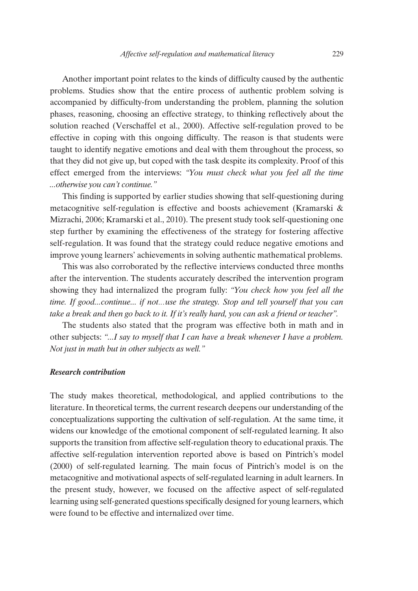Another important point relates to the kinds of difficulty caused by the authentic problems. Studies show that the entire process of authentic problem solving is accompanied by difficulty-from understanding the problem, planning the solution phases, reasoning, choosing an effective strategy, to thinking reflectively about the solution reached (Verschaffel et al., 2000). Affective self-regulation proved to be effective in coping with this ongoing difficulty. The reason is that students were taught to identify negative emotions and deal with them throughout the process, so that they did not give up, but coped with the task despite its complexity. Proof of this effect emerged from the interviews: *"You must check what you feel all the time ...otherwise you can't continue."*

This finding is supported by earlier studies showing that self-questioning during metacognitive self-regulation is effective and boosts achievement (Kramarski & Mizrachi, 2006; Kramarski et al., 2010). The present study took self-questioning one step further by examining the effectiveness of the strategy for fostering affective self-regulation. It was found that the strategy could reduce negative emotions and improve young learners' achievements in solving authentic mathematical problems.

This was also corroborated by the reflective interviews conducted three months after the intervention. The students accurately described the intervention program showing they had internalized the program fully: *"You check how you feel all the time. If good...continue... if not…use the strategy. Stop and tell yourself that you can take a break and then go back to it. If it's really hard, you can ask a friend or teacher".*

The students also stated that the program was effective both in math and in other subjects: *"...I say to myself that I can have a break whenever I have a problem. Not just in math but in other subjects as well."*

#### *Research contribution*

The study makes theoretical, methodological, and applied contributions to the literature. In theoretical terms, the current research deepens our understanding of the conceptualizations supporting the cultivation of self-regulation. At the same time, it widens our knowledge of the emotional component of self-regulated learning. It also supports the transition from affective self-regulation theory to educational praxis. The affective self-regulation intervention reported above is based on Pintrich's model (2000) of self-regulated learning. The main focus of Pintrich's model is on the metacognitive and motivational aspects of self-regulated learning in adult learners. In the present study, however, we focused on the affective aspect of self-regulated learning using self-generated questions specifically designed for young learners, which were found to be effective and internalized over time.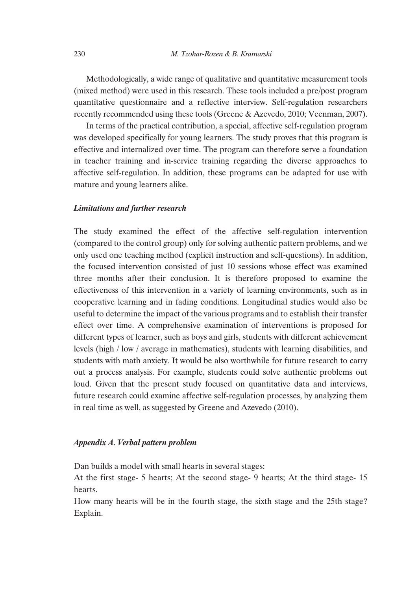Methodologically, a wide range of qualitative and quantitative measurement tools (mixed method) were used in this research. These tools included a pre/post program quantitative questionnaire and a reflective interview. Self-regulation researchers recently recommended using these tools (Greene & Azevedo, 2010; Veenman, 2007).

In terms of the practical contribution, a special, affective self-regulation program was developed specifically for young learners. The study proves that this program is effective and internalized over time. The program can therefore serve a foundation in teacher training and in-service training regarding the diverse approaches to affective self-regulation. In addition, these programs can be adapted for use with mature and young learners alike.

#### *Limitations and further research*

The study examined the effect of the affective self-regulation intervention (compared to the control group) only for solving authentic pattern problems, and we only used one teaching method (explicit instruction and self-questions). In addition, the focused intervention consisted of just 10 sessions whose effect was examined three months after their conclusion. It is therefore proposed to examine the effectiveness of this intervention in a variety of learning environments, such as in cooperative learning and in fading conditions. Longitudinal studies would also be useful to determine the impact of the various programs and to establish their transfer effect over time. A comprehensive examination of interventions is proposed for different types of learner, such as boys and girls, students with different achievement levels (high / low / average in mathematics), students with learning disabilities, and students with math anxiety. It would be also worthwhile for future research to carry out a process analysis. For example, students could solve authentic problems out loud. Given that the present study focused on quantitative data and interviews, future research could examine affective self-regulation processes, by analyzing them in real time as well, as suggested by Greene and Azevedo (2010).

### *Appendix A. Verbal pattern problem*

Dan builds a model with small hearts in several stages:

At the first stage- 5 hearts; At the second stage- 9 hearts; At the third stage- 15 hearts.

How many hearts will be in the fourth stage, the sixth stage and the 25th stage? Explain.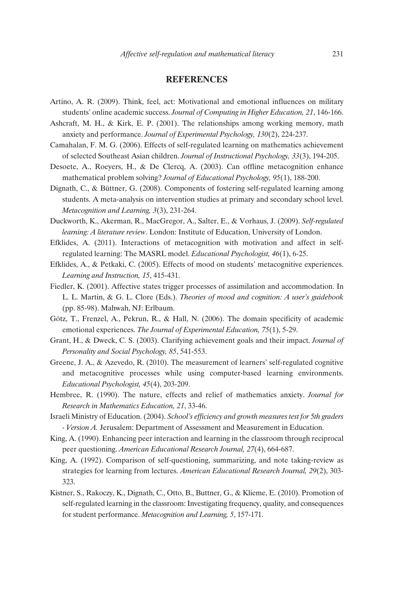### **REFERENCES**

- Artino, A. R. (2009). Think, feel, act: Motivational and emotional influences on military students' online academic success. *Journal of Computing in Higher Education, 21*, 146-166.
- Ashcraft, M. H., & Kirk, E. P. (2001). The relationships among working memory, math anxiety and performance. *Journal of Experimental Psychology, 130*(2), 224-237.
- Camahalan, F. M. G. (2006). Effects of self-regulated learning on mathematics achievement of selected Southeast Asian children. *Journal of Instructional Psychology, 33*(3), 194-205.
- Desoete, A., Roeyers, H., & De Clercq, A. (2003). Can offline metacognition enhance mathematical problem solving? *Journal of Educational Psychology, 95*(1), 188-200.
- Dignath, C., & Büttner, G. (2008). Components of fostering self-regulated learning among students. A meta-analysis on intervention studies at primary and secondary school level. *Metacognition and Learning, 3*(3), 231-264.
- Duckworth, K., Akerman, R., MacGregor, A., Salter, E., & Vorhaus, J. (2009). *Self-regulated learning: A literature review*. London: Institute of Education, University of London.
- Efklides, A. (2011). Interactions of metacognition with motivation and affect in selfregulated learning: The MASRL model. *Educational Psychologist, 46*(1), 6-25.
- Efklides, A., & Petkaki, C. (2005). Effects of mood on students' metacognitive experiences. *Learning and Instruction, 15*, 415-431.
- Fiedler, K. (2001). Affective states trigger processes of assimilation and accommodation. In L. L. Martin, & G. L. Clore (Eds.). *Theories of mood and cognition: A user's guidebook* (pp. 85-98). Mahwah, NJ: Erlbaum.
- Götz, T., Frenzel, A., Pekrun, R., & Hall, N. (2006). The domain specificity of academic emotional experiences. *The Journal of Experimental Education, 75*(1), 5-29.
- Grant, H., & Dweck, C. S. (2003). Clarifying achievement goals and their impact. *Journal of Personality and Social Psychology, 85*, 541-553.
- Greene, J. A., & Azevedo, R. (2010). The measurement of learners' self-regulated cognitive and metacognitive processes while using computer-based learning environments. *Educational Psychologist, 45*(4), 203-209.
- Hembree, R. (1990). The nature, effects and relief of mathematics anxiety. *Journal for Research in Mathematics Education, 21*, 33-46.
- Israeli Ministry of Education. (2004). *School's efficiency and growth measures test for 5th graders - Version A.* Jerusalem: Department of Assessment and Measurement in Education.
- King, A. (1990). Enhancing peer interaction and learning in the classroom through reciprocal peer questioning. *American Educational Research Journal, 27*(4), 664-687.
- King, A. (1992). Comparison of self-questioning, summarizing, and note taking-review as strategies for learning from lectures. *American Educational Research Journal, 29*(2), 303- 323.
- Kistner, S., Rakoczy, K., Dignath, C., Otto, B., Buttner, G., & Klieme, E. (2010). Promotion of self-regulated learning in the classroom: Investigating frequency, quality, and consequences for student performance. *Metacognition and Learning, 5*, 157-171.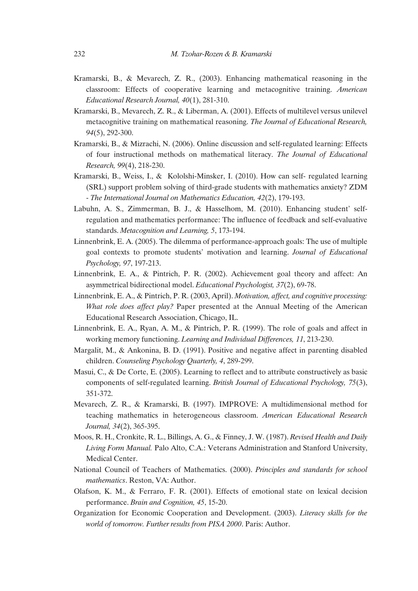- Kramarski, B., & Mevarech, Z. R., (2003). Enhancing mathematical reasoning in the classroom: Effects of cooperative learning and metacognitive training. *American Educational Research Journal, 40*(1), 281-310.
- Kramarski, B., Mevarech, Z. R., & Liberman, A. (2001). Effects of multilevel versus unilevel metacognitive training on mathematical reasoning. *The Journal of Educational Research, 94*(5), 292-300.
- Kramarski, B., & Mizrachi, N. (2006). Online discussion and self-regulated learning: Effects of four instructional methods on mathematical literacy. *The Journal of Educational Research, 99*(4), 218-230.
- Kramarski, B., Weiss, I., & Kololshi-Minsker, π. (2010). How can self- regulated learning (SRL) support problem solving of third-grade students with mathematics anxiety? ZDM - *The International Journal on Mathematics Education, 42*(2), 179-193.
- Labuhn, A. S., Zimmerman, B. J., & Hasselhom, M. (2010). Enhancing student' selfregulation and mathematics performance: The influence of feedback and self-evaluative standards. *Metacognition and Learning, 5*, 173-194.
- Linnenbrink, E. A. (2005). The dilemma of performance-approach goals: The use of multiple goal contexts to promote students' motivation and learning. *Journal of Educational Psychology, 97*, 197-213.
- Linnenbrink, E. A., & Pintrich, P. R. (2002). Achievement goal theory and affect: An asymmetrical bidirectional model. *Educational Psychologist, 37*(2), 69-78.
- Linnenbrink, E. A., & Pintrich, P. R. (2003, April). *Motivation, affect, and cognitive processing: What role does affect play?* Paper presented at the Annual Meeting of the American Educational Research Association, Chicago, IL.
- Linnenbrink, E. A., Ryan, A. M., & Pintrich, P. R. (1999). The role of goals and affect in working memory functioning. *Learning and Individual Differences, 11*, 213-230.
- Margalit, M., & Ankonina, B. D. (1991). Positive and negative affect in parenting disabled children. *Counseling Psychology Quarterly, 4*, 289-299.
- Masui, C., & De Corte, E. (2005). Learning to reflect and to attribute constructively as basic components of self-regulated learning. *British Journal of Educational Psychology, 75*(3), 351-372.
- Mevarech, Z. R., & Kramarski, B. (1997). IMPROVE: A multidimensional method for teaching mathematics in heterogeneous classroom. *American Educational Research Journal, 34*(2), 365-395.
- Moos, R. H., Cronkite, R. L., Billings, A. G., & Finney, J. W. (1987). *Revised Health and Daily Living Form Manual.* Palo Alto, C.A.: Veterans Administration and Stanford University, Medical Center.
- National Council of Teachers of Mathematics. (2000). *Principles and standards for school mathematics*. Reston, VA: Author.
- Olafson, K. M., & Ferraro, F. R. (2001). Effects of emotional state on lexical decision performance. *Brain and Cognition, 45*, 15-20.
- Organization for Economic Cooperation and Development. (2003). *Literacy skills for the world of tomorrow. Further results from PISA 2000*. Paris: Author.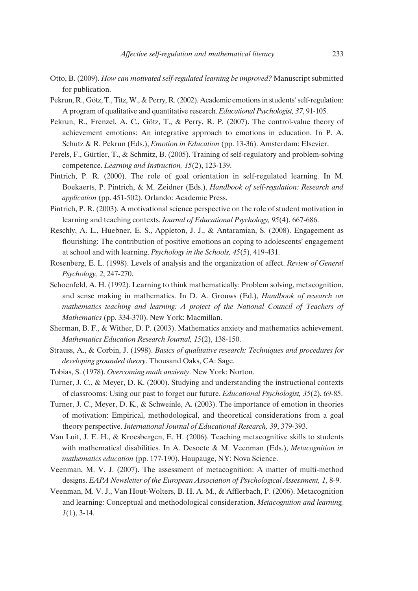- Otto, B. (2009). *How can motivated self-regulated learning be improved?* Manuscript submitted for publication.
- Pekrun, R., Götz, T., Titz, W., & Perry, R. (2002). Academic emotions in students` self-regulation: A program of qualitative and quantitative research. *Educational Psychologist, 37*, 91-105.
- Pekrun, R., Frenzel, A. C., Götz, T., & Perry, R. P. (2007). The control-value theory of achievement emotions: An integrative approach to emotions in education. In P. A. Schutz & R. Pekrun (Eds.), *Emotion in Education* (pp. 13-36). Amsterdam: Elsevier.
- Perels, F., Gürtler, T., & Schmitz, B. (2005). Training of self-regulatory and problem-solving competence. *Learning and Instruction, 15*(2), 123-139.
- Pintrich, P. R. (2000). The role of goal orientation in self-regulated learning. In M. Boekaerts, P. Pintrich, & M. Zeidner (Eds.), *Handbook of self-regulation: Research and application* (pp. 451-502). Orlando: Academic Press.
- Pintrich, P. R. (2003). A motivational science perspective on the role of student motivation in learning and teaching contexts. *Journal of Educational Psychology, 95*(4), 667-686.
- Reschly, A. L., Huebner, E. S., Appleton, J. J., & Antaramian, S. (2008). Engagement as flourishing: The contribution of positive emotions an coping to adolescents' engagement at school and with learning. *Psychology in the Schools, 45*(5), 419-431.
- Rosenberg, E. L. (1998). Levels of analysis and the organization of affect. *Review of General Psychology, 2*, 247-270.
- Schoenfeld, A. H. (1992). Learning to think mathematically: Problem solving, metacognition, and sense making in mathematics. In D. A. Grouws (Ed.), *Handbook of research on mathematics teaching and learning: A project of the National Council of Teachers of Mathematics* (pp. 334-370). New York: Macmillan.
- Sherman, B. F., & Wither, D. P. (2003). Mathematics anxiety and mathematics achievement. *Mathematics Education Research Journal, 15*(2), 138-150.
- Strauss, A., & Corbin, J. (1998). *Basics of qualitative research: Techniques and procedures for developing grounded theory*. Thousand Oaks, CA: Sage.
- Tobias, S. (1978). *Overcoming math anxienty*. New York: Norton.
- Turner, J. C., & Meyer, D. K. (2000). Studying and understanding the instructional contexts of classrooms: Using our past to forget our future. *Educational Psychologist, 35*(2), 69-85.
- Turner, J. C., Meyer, D. K., & Schweinle, A. (2003). The importance of emotion in theories of motivation: Empirical, methodological, and theoretical considerations from a goal theory perspective. *International Journal of Educational Research, 39*, 379-393.
- Van Luit, J. E. H., & Kroesbergen, E. H. (2006). Teaching metacognitive skills to students with mathematical disabilities. In A. Desoete & M. Veenman (Eds.), *Metacognition in mathematics education* (pp. 177-190). Haupauge, NY: Nova Science.
- Veenman, M. V. J. (2007). The assessment of metacognition: A matter of multi-method designs. *EAPA Newsletter of the European Association of Psychological Assessment, 1*, 8-9.
- Veenman, M. V. J., Van Hout-Wolters, B. H. A. M., & Afflerbach, P. (2006). Metacognition and learning: Conceptual and methodological consideration. *Metacognition and learning, 1*(1), 3-14.